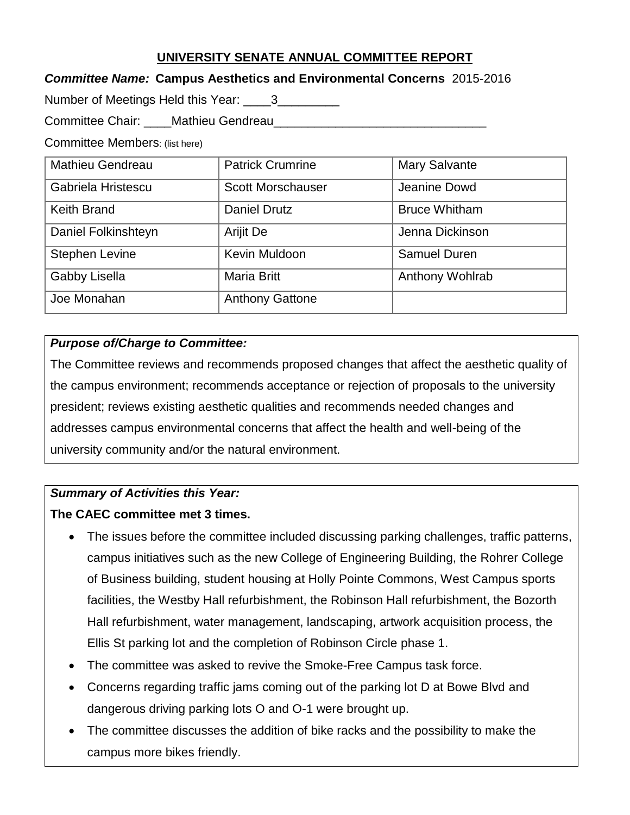## **UNIVERSITY SENATE ANNUAL COMMITTEE REPORT**

### *Committee Name:* **Campus Aesthetics and Environmental Concerns**2015-2016

Number of Meetings Held this Year: \_\_\_\_3\_\_\_\_\_\_\_\_

Committee Chair: Mathieu Gendreau Changer Committee Chair:

Committee Members: (list here)

| Mathieu Gendreau      | <b>Patrick Crumrine</b>  | <b>Mary Salvante</b> |
|-----------------------|--------------------------|----------------------|
| Gabriela Hristescu    | <b>Scott Morschauser</b> | Jeanine Dowd         |
| <b>Keith Brand</b>    | <b>Daniel Drutz</b>      | <b>Bruce Whitham</b> |
| Daniel Folkinshteyn   | Arijit De                | Jenna Dickinson      |
| <b>Stephen Levine</b> | Kevin Muldoon            | Samuel Duren         |
| Gabby Lisella         | <b>Maria Britt</b>       | Anthony Wohlrab      |
| Joe Monahan           | <b>Anthony Gattone</b>   |                      |

## *Purpose of/Charge to Committee:*

The Committee reviews and recommends proposed changes that affect the aesthetic quality of the campus environment; recommends acceptance or rejection of proposals to the university president; reviews existing aesthetic qualities and recommends needed changes and addresses campus environmental concerns that affect the health and well-being of the university community and/or the natural environment.

## *Summary of Activities this Year:*

## **The CAEC committee met 3 times.**

- The issues before the committee included discussing parking challenges, traffic patterns, campus initiatives such as the new College of Engineering Building, the Rohrer College of Business building, student housing at Holly Pointe Commons, West Campus sports facilities, the Westby Hall refurbishment, the Robinson Hall refurbishment, the Bozorth Hall refurbishment, water management, landscaping, artwork acquisition process, the Ellis St parking lot and the completion of Robinson Circle phase 1.
- The committee was asked to revive the Smoke-Free Campus task force.
- Concerns regarding traffic jams coming out of the parking lot D at Bowe Blvd and dangerous driving parking lots O and O-1 were brought up.
- The committee discusses the addition of bike racks and the possibility to make the campus more bikes friendly.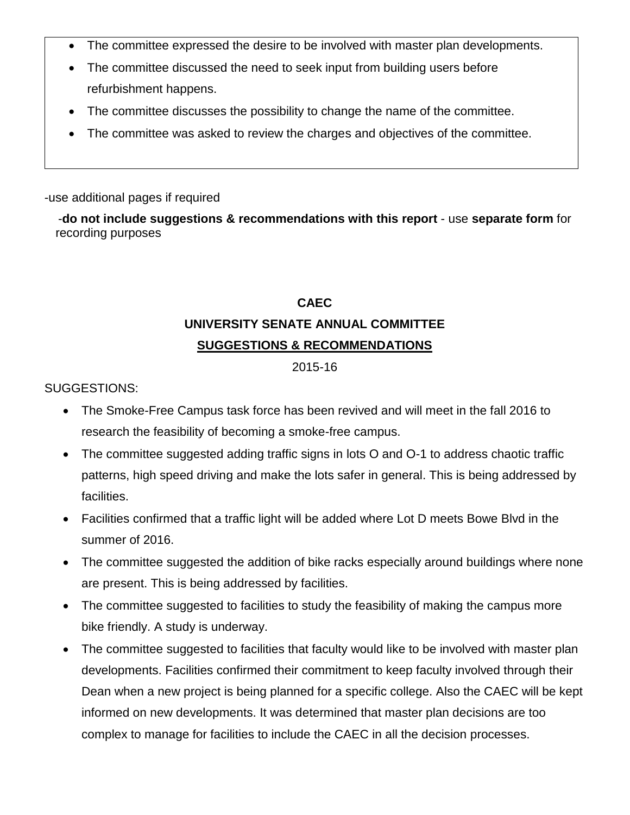- The committee expressed the desire to be involved with master plan developments.
- The committee discussed the need to seek input from building users before refurbishment happens.
- The committee discusses the possibility to change the name of the committee.
- The committee was asked to review the charges and objectives of the committee.

#### -use additional pages if required

-**do not include suggestions & recommendations with this report** - use **separate form** for recording purposes

#### **CAEC**

# **UNIVERSITY SENATE ANNUAL COMMITTEE SUGGESTIONS & RECOMMENDATIONS**

#### 2015-16

SUGGESTIONS:

- The Smoke-Free Campus task force has been revived and will meet in the fall 2016 to research the feasibility of becoming a smoke-free campus.
- The committee suggested adding traffic signs in lots O and O-1 to address chaotic traffic patterns, high speed driving and make the lots safer in general. This is being addressed by facilities.
- Facilities confirmed that a traffic light will be added where Lot D meets Bowe Blvd in the summer of 2016.
- The committee suggested the addition of bike racks especially around buildings where none are present. This is being addressed by facilities.
- The committee suggested to facilities to study the feasibility of making the campus more bike friendly. A study is underway.
- The committee suggested to facilities that faculty would like to be involved with master plan developments. Facilities confirmed their commitment to keep faculty involved through their Dean when a new project is being planned for a specific college. Also the CAEC will be kept informed on new developments. It was determined that master plan decisions are too complex to manage for facilities to include the CAEC in all the decision processes.